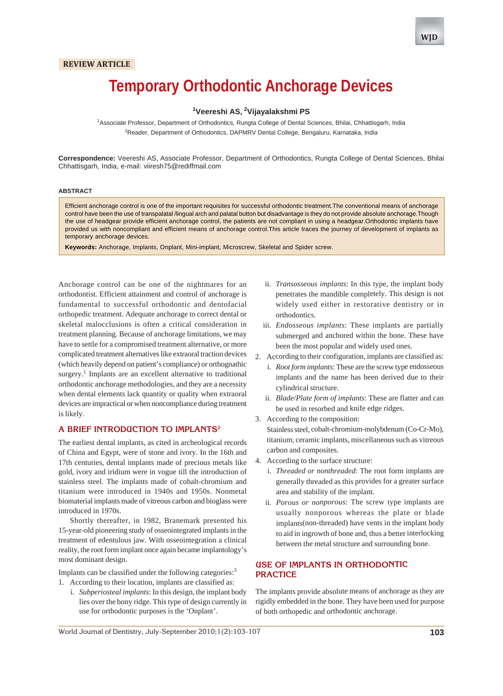## **REVIEW ARTICLE**

# **Temporary Orthodontic Anchorage Devices**

# <sup>1</sup>Veereshi AS, <sup>2</sup>Vijayalakshmi PS

1 Associate Professor, Department of Orthodontics, Rungta College of Dental Sciences, Bhilai, Chhattisgarh, India <sup>2</sup>Reader, Department of Orthodontics, DAPMRV Dental College, Bengaluru, Karnataka, India

**Correspondence:** Veereshi AS, Associate Professor, Department of Orthodontics, Rungta College of Dental Sciences, Bhilai Chhattisgarh, India, e-mail: viiresh75@rediffmail.com

#### **ABSTRACT**

Efficient anchorage control is one of the important requisites for successful orthodontic treatment.The conventional means of anchorage control have been the use of transpalatal /lingual arch and palatal button but disadvantage is they do not provide absolute anchorage.Though the use of headgear provide efficient anchorage control, the patients are not compliant in using a headgear.Orthodontic implants have provided us with noncompliant and efficient means of anchorage control.This article traces the journey of development of implants as temporary anchorage devices.

**Keywords:** Anchorage, Implants, Onplant, Mini-implant, Microscrew, Skeletal and Spider screw.

Anchorage control can be one of the nightmares for an orthodontist. Efficient attainment and control of anchorage is fundamental to successful orthodontic and dentofacial orthopedic treatment. Adequate anchorage to correct dental or skeletal malocclusions is often a critical consideration in treatment planning. Because of anchorage limitations, we may have to settle for a compromised treatment alternative, or more complicated treatment alternatives like extraoral traction devices (which heavily depend on patient's compliance) or orthognathic surgery.<sup>1</sup> Implants are an excellent alternative to traditional orthodontic anchorage methodologies, and they are a necessity when dental elements lack quantity or quality when extraoral devices are impractical or when noncompliance during treatment is likely.

#### **A BRIEF INTRODUCTION TO IMPLANTS2**

The earliest dental implants, as cited in archeological records of China and Egypt, were of stone and ivory. In the 16th and 17th centuries, dental implants made of precious metals like gold, ivory and iridium were in vogue till the introduction of stainless steel. The implants made of cobalt-chromium and titanium were introduced in 1940s and 1950s. Nonmetal biomaterial implants made of vitreous carbon and bioglass were introduced in 1970s.

Shortly thereafter, in 1982, Branemark presented his 15-year-old pioneering study of osseointegrated implants in the treatment of edentulous jaw. With osseointegration a clinical reality, the root form implant once again became implantology's most dominant design.

Implants can be classified under the following categories: $3$ 1. According to their location, implants are classified as:

i. *Subperiosteal implants*: In this design, the implant body lies over the bony ridge. This type of design currently in use for orthodontic purposes is the 'Onplant'.

- ii. *Transosseous implants*: In this type, the implant body penetrates the mandible completely. This design is not widely used either in restorative dentistry or in orthodontics.
- iii. *Endosseous implants*: These implants are partially submerged and anchored within the bone. These have been the most popular and widely used ones.
- 2. According to their configuration, implants are classified as:
	- i. *Root form implants*: These are the screw type endosseous implants and the name has been derived due to their cylindrical structure.
	- ii. *Blade/Plate form of implants*: These are flatter and can be used in resorbed and knife edge ridges.
- 3. According to the composition: Stainless steel, cobalt-chromium-molybdenum (Co-Cr-Mo), titanium, ceramic implants, miscellaneous such as vitreous carbon and composites.
- 4. According to the surface structure:
	- i. *Threaded or nonthreaded*: The root form implants are generally threaded as this provides for a greater surface area and stability of the implant.
	- ii. *Porous or nonporous*: The screw type implants are usually nonporous whereas the plate or blade implants(non-threaded) have vents in the implant body to aid in ingrowth of bone and, thus a better interlocking between the metal structure and surrounding bone.

# **USE OF IMPLANTS IN ORTHODONTIC PRACTICE**

The implants provide absolute means of anchorage as they are rigidly embedded in the bone. They have been used for purpose of both orthopedic and orthodontic anchorage.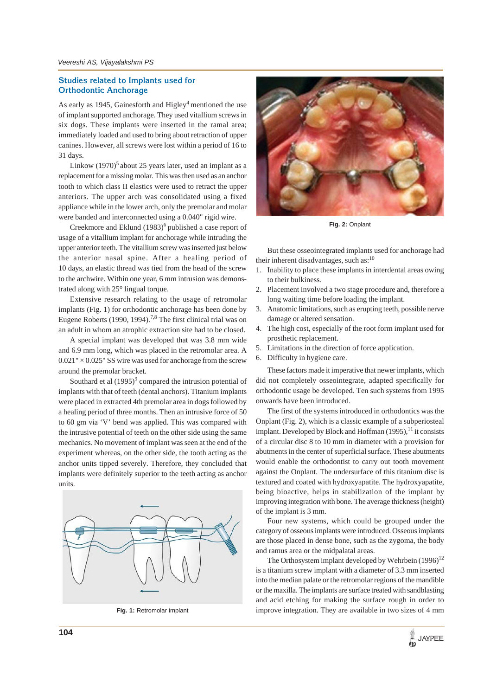# **Studies related to Implants used for Orthodontic Anchorage**

As early as 1945, Gainesforth and Higley<sup>4</sup> mentioned the use of implant supported anchorage. They used vitallium screws in six dogs. These implants were inserted in the ramal area; immediately loaded and used to bring about retraction of upper canines. However, all screws were lost within a period of 16 to 31 days.

Linkow  $(1970)^5$  about 25 years later, used an implant as a replacement for a missing molar. This was then used as an anchor tooth to which class II elastics were used to retract the upper anteriors. The upper arch was consolidated using a fixed appliance while in the lower arch, only the premolar and molar were banded and interconnected using a 0.040" rigid wire.

Creekmore and Eklund  $(1983)^6$  published a case report of usage of a vitallium implant for anchorage while intruding the upper anterior teeth. The vitallium screw was inserted just below the anterior nasal spine. After a healing period of 10 days, an elastic thread was tied from the head of the screw to the archwire. Within one year, 6 mm intrusion was demonstrated along with 25° lingual torque.

Extensive research relating to the usage of retromolar implants (Fig. 1) for orthodontic anchorage has been done by Eugene Roberts (1990, 1994).<sup>7,8</sup> The first clinical trial was on an adult in whom an atrophic extraction site had to be closed.

A special implant was developed that was 3.8 mm wide and 6.9 mm long, which was placed in the retromolar area. A  $0.021" \times 0.025"$  SS wire was used for anchorage from the screw around the premolar bracket.

Southard et al  $(1995)^9$  compared the intrusion potential of implants with that of teeth (dental anchors). Titanium implants were placed in extracted 4th premolar area in dogs followed by a healing period of three months. Then an intrusive force of 50 to 60 gm via 'V' bend was applied. This was compared with the intrusive potential of teeth on the other side using the same mechanics. No movement of implant was seen at the end of the experiment whereas, on the other side, the tooth acting as the anchor units tipped severely. Therefore, they concluded that implants were definitely superior to the teeth acting as anchor units.





**Fig. 2:** Onplant

But these osseointegrated implants used for anchorage had their inherent disadvantages, such as: $10$ 

- 1. Inability to place these implants in interdental areas owing to their bulkiness.
- 2. Placement involved a two stage procedure and, therefore a long waiting time before loading the implant.
- 3. Anatomic limitations, such as erupting teeth, possible nerve damage or altered sensation.
- 4. The high cost, especially of the root form implant used for prosthetic replacement.
- 5. Limitations in the direction of force application.
- 6. Difficulty in hygiene care.

These factors made it imperative that newer implants, which did not completely osseointegrate, adapted specifically for orthodontic usage be developed. Ten such systems from 1995 onwards have been introduced.

The first of the systems introduced in orthodontics was the Onplant (Fig. 2), which is a classic example of a subperiosteal implant. Developed by Block and Hoffman  $(1995)$ , <sup>11</sup> it consists of a circular disc 8 to 10 mm in diameter with a provision for abutments in the center of superficial surface. These abutments would enable the orthodontist to carry out tooth movement against the Onplant. The undersurface of this titanium disc is textured and coated with hydroxyapatite. The hydroxyapatite, being bioactive, helps in stabilization of the implant by improving integration with bone. The average thickness (height) of the implant is 3 mm.

Four new systems, which could be grouped under the category of osseous implants were introduced. Osseous implants are those placed in dense bone, such as the zygoma, the body and ramus area or the midpalatal areas.

The Orthosystem implant developed by Wehrbein  $(1996)^{12}$ is a titanium screw implant with a diameter of 3.3 mm inserted into the median palate or the retromolar regions of the mandible or the maxilla. The implants are surface treated with sandblasting and acid etching for making the surface rough in order to **Fig. 1:** Retromolar implant improve integration. They are available in two sizes of 4 mm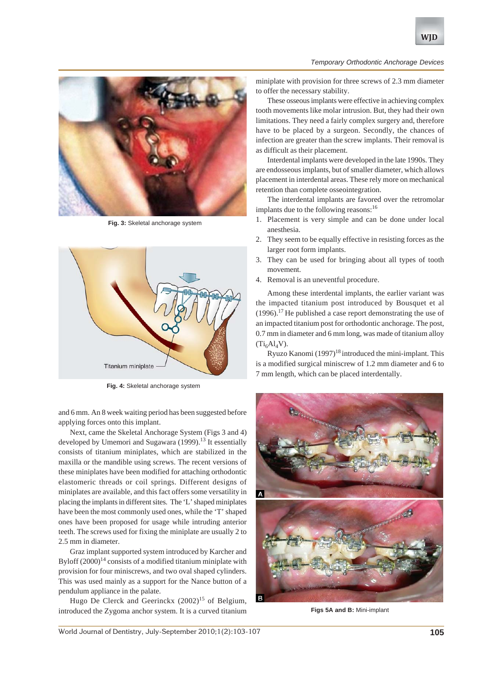

**Fig. 3:** Skeletal anchorage system



**Fig. 4:** Skeletal anchorage system

and 6 mm. An 8 week waiting period has been suggested before applying forces onto this implant.

Next, came the Skeletal Anchorage System (Figs 3 and 4) developed by Umemori and Sugawara (1999).<sup>13</sup> It essentially consists of titanium miniplates, which are stabilized in the maxilla or the mandible using screws. The recent versions of these miniplates have been modified for attaching orthodontic elastomeric threads or coil springs. Different designs of miniplates are available, and this fact offers some versatility in placing the implants in different sites. The 'L' shaped miniplates have been the most commonly used ones, while the 'T' shaped ones have been proposed for usage while intruding anterior teeth. The screws used for fixing the miniplate are usually 2 to 2.5 mm in diameter.

Graz implant supported system introduced by Karcher and Byloff  $(2000)^{14}$  consists of a modified titanium miniplate with provision for four miniscrews, and two oval shaped cylinders. This was used mainly as a support for the Nance button of a pendulum appliance in the palate.

Hugo De Clerck and Geerinckx  $(2002)^{15}$  of Belgium, introduced the Zygoma anchor system. It is a curved titanium

miniplate with provision for three screws of 2.3 mm diameter to offer the necessary stability.

These osseous implants were effective in achieving complex tooth movements like molar intrusion. But, they had their own limitations. They need a fairly complex surgery and, therefore have to be placed by a surgeon. Secondly, the chances of infection are greater than the screw implants. Their removal is as difficult as their placement.

Interdental implants were developed in the late 1990s. They are endosseous implants, but of smaller diameter, which allows placement in interdental areas. These rely more on mechanical retention than complete osseointegration.

The interdental implants are favored over the retromolar implants due to the following reasons:<sup>16</sup>

- 1. Placement is very simple and can be done under local anesthesia.
- 2. They seem to be equally effective in resisting forces as the larger root form implants.
- 3. They can be used for bringing about all types of tooth movement.
- 4. Removal is an uneventful procedure.

Among these interdental implants, the earlier variant was the impacted titanium post introduced by Bousquet et al  $(1996)$ .<sup>17</sup> He published a case report demonstrating the use of an impacted titanium post for orthodontic anchorage. The post, 0.7 mm in diameter and 6 mm long, was made of titanium alloy  $(Ti<sub>6</sub>Al<sub>4</sub>V).$ 

Ryuzo Kanomi  $(1997)^{18}$  introduced the mini-implant. This is a modified surgical miniscrew of 1.2 mm diameter and 6 to 7 mm length, which can be placed interdentally.



**Figs 5A and B:** Mini-implant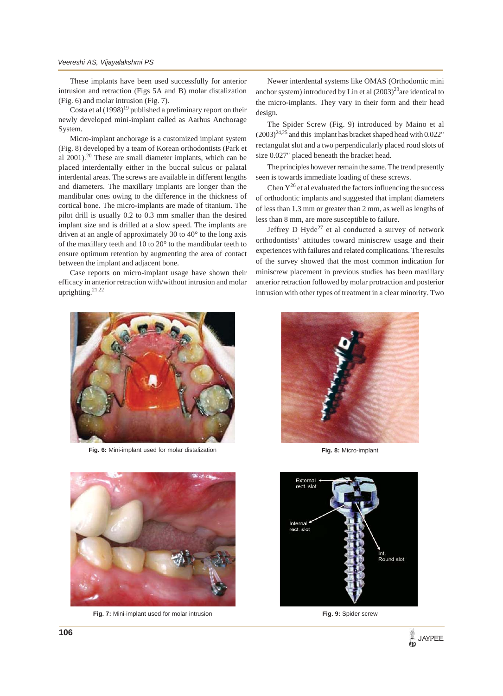These implants have been used successfully for anterior intrusion and retraction (Figs 5A and B) molar distalization (Fig. 6) and molar intrusion (Fig. 7).

Costa et al  $(1998)^{19}$  published a preliminary report on their newly developed mini-implant called as Aarhus Anchorage System.

Micro-implant anchorage is a customized implant system (Fig. 8) developed by a team of Korean orthodontists (Park et al  $2001$ ).<sup>20</sup> These are small diameter implants, which can be placed interdentally either in the buccal sulcus or palatal interdental areas. The screws are available in different lengths and diameters. The maxillary implants are longer than the mandibular ones owing to the difference in the thickness of cortical bone. The micro-implants are made of titanium. The pilot drill is usually 0.2 to 0.3 mm smaller than the desired implant size and is drilled at a slow speed. The implants are driven at an angle of approximately 30 to 40° to the long axis of the maxillary teeth and 10 to 20° to the mandibular teeth to ensure optimum retention by augmenting the area of contact between the implant and adjacent bone.

Case reports on micro-implant usage have shown their efficacy in anterior retraction with/without intrusion and molar uprighting.21,22



**Fig. 6:** Mini-implant used for molar distalization



**Fig. 7:** Mini-implant used for molar intrusion

Newer interdental systems like OMAS (Orthodontic mini anchor system) introduced by Lin et al  $(2003)^{23}$  are identical to the micro-implants. They vary in their form and their head design.

The Spider Screw (Fig. 9) introduced by Maino et al  $(2003)^{24,25}$  and this implant has bracket shaped head with 0.022" rectangulat slot and a two perpendicularly placed roud slots of size 0.027" placed beneath the bracket head.

The principles however remain the same. The trend presently seen is towards immediate loading of these screws.

Chen  $Y^{26}$  et al evaluated the factors influencing the success of orthodontic implants and suggested that implant diameters of less than 1.3 mm or greater than 2 mm, as well as lengths of less than 8 mm, are more susceptible to failure.

Jeffrey D Hyde<sup>27</sup> et al conducted a survey of network orthodontists' attitudes toward miniscrew usage and their experiences with failures and related complications. The results of the survey showed that the most common indication for miniscrew placement in previous studies has been maxillary anterior retraction followed by molar protraction and posterior intrusion with other types of treatment in a clear minority. Two



**Fig. 8:** Micro-implant



**Fig. 9:** Spider screw